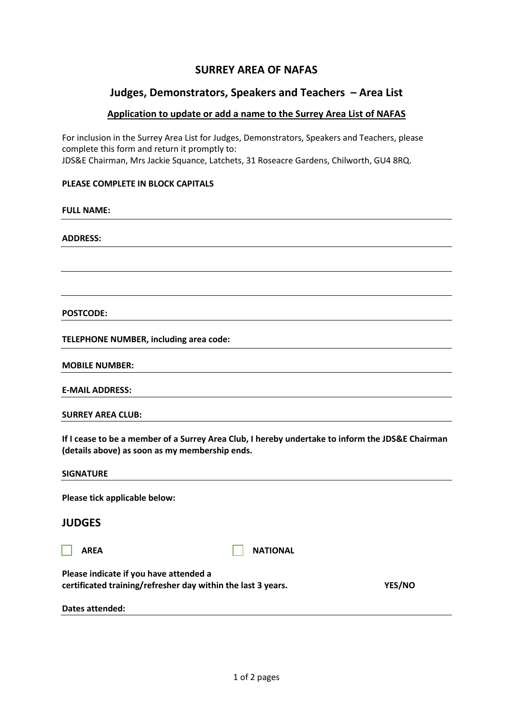# **SURREY AREA OF NAFAS**

## **Judges, Demonstrators, Speakers and Teachers – Area List**

### **Application to update or add a name to the Surrey Area List of NAFAS**

For inclusion in the Surrey Area List for Judges, Demonstrators, Speakers and Teachers, please complete this form and return it promptly to: JDS&E Chairman, Mrs Jackie Squance, Latchets, 31 Roseacre Gardens, Chilworth, GU4 8RQ.

#### **PLEASE COMPLETE IN BLOCK CAPITALS**

#### **FULL NAME:**

#### **ADDRESS:**

**POSTCODE:**

**TELEPHONE NUMBER, including area code:**

**MOBILE NUMBER:**

**E-MAIL ADDRESS:**

**SURREY AREA CLUB:**

**If I cease to be a member of a Surrey Area Club, I hereby undertake to inform the JDS&E Chairman (details above) as soon as my membership ends.**

|--|

**Please tick applicable below:**

## **JUDGES**

|--|

**AREA** NATIONAL

**Please indicate if you have attended a certificated training/refresher day within the last 3 years. YES/NO**

**Dates attended:**